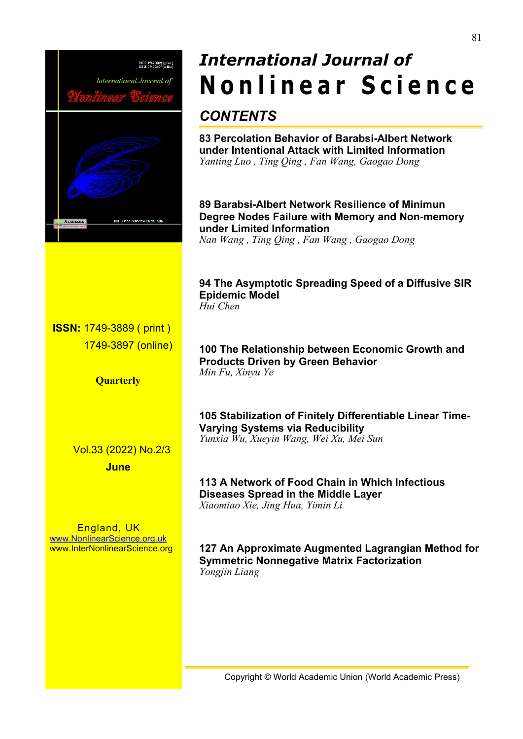

# *International Journal of* **N o n l i n e a r S c ie n c e**

## *CONTENTS*

**83 Percolation Behavior of Barabsi-Albert Network under Intentional Attack with Limited Information** *Yanting Luo , Ting Qing , Fan Wang, Gaogao Dong*

**89 Barabsi-Albert Network Resilience of Minimun Degree Nodes Failure with Memory and Non-memory under Limited Information** *Nan Wang , Ting Qing , Fan Wang , Gaogao Dong*

**94 The Asymptotic Spreading Speed of a Diffusive SIR Epidemic Model** *Hui Chen*

**ISSN:** 1749-3889 ( print ) 1749-3897 (online)

**Quarterly**

Vol.33 (2022) No.2/3

**June**

England, UK [www.NonlinearScience.org.uk](http://www.nonlinearscience.org.uk) www.InterNonlinearScience.org **100 The Relationship between Economic Growth and Products Driven by Green Behavior** *Min Fu, Xinyu Ye*

**105 Stabilization of Finitely Differentiable Linear Time- Varying Systems via Reducibility** *Yunxia Wu, Xueyin Wang, Wei Xu, Mei Sun*

**113 A Network of Food Chain in Which Infectious Diseases Spread in the Middle Layer** *Xiaomiao Xie, Jing Hua, Yimin Li*

**127 An Approximate Augmented Lagrangian Method for Symmetric Nonnegative Matrix Factorization** *Yongjin Liang*

Copyright © World Academic Union (World Academic Press)